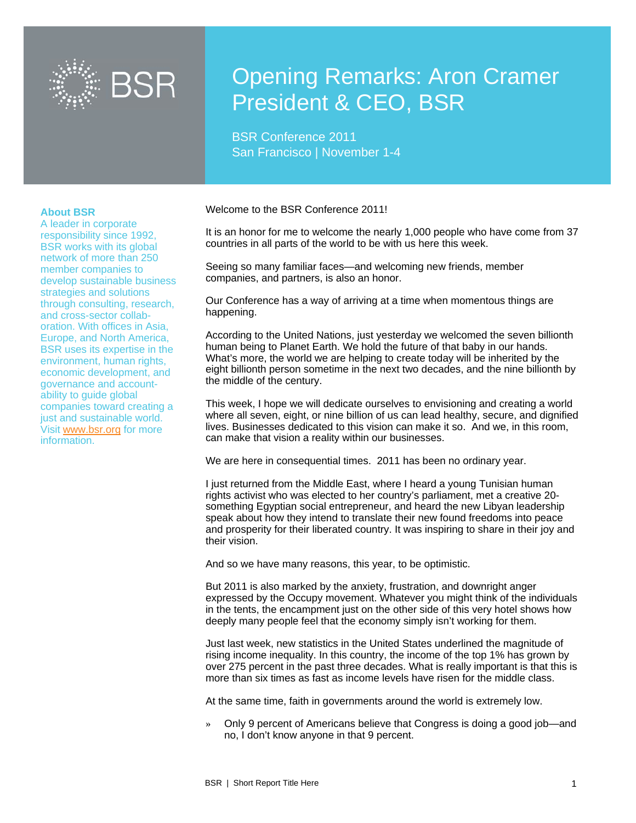

# Opening Remarks: Aron Cramer President & CEO, BSR

BSR Conference 2011 San Francisco | November 1-4

#### **About BSR**

A leader in corporate responsibility since 1992, BSR works with its global network of more than 250 member companies to develop sustainable business strategies and solutions through consulting, research, and cross-sector collaboration. With offices in Asia, Europe, and North America, BSR uses its expertise in the environment, human rights, economic development, and governance and accountability to guide global companies toward creating a just and sustainable world. Visit www.bsr.org for more information.

Welcome to the BSR Conference 2011!

It is an honor for me to welcome the nearly 1,000 people who have come from 37 countries in all parts of the world to be with us here this week.

Seeing so many familiar faces—and welcoming new friends, member companies, and partners, is also an honor.

Our Conference has a way of arriving at a time when momentous things are happening.

According to the United Nations, just yesterday we welcomed the seven billionth human being to Planet Earth. We hold the future of that baby in our hands. What's more, the world we are helping to create today will be inherited by the eight billionth person sometime in the next two decades, and the nine billionth by the middle of the century.

This week, I hope we will dedicate ourselves to envisioning and creating a world where all seven, eight, or nine billion of us can lead healthy, secure, and dignified lives. Businesses dedicated to this vision can make it so. And we, in this room, can make that vision a reality within our businesses.

We are here in consequential times. 2011 has been no ordinary year.

I just returned from the Middle East, where I heard a young Tunisian human rights activist who was elected to her country's parliament, met a creative 20 something Egyptian social entrepreneur, and heard the new Libyan leadership speak about how they intend to translate their new found freedoms into peace and prosperity for their liberated country. It was inspiring to share in their joy and their vision.

And so we have many reasons, this year, to be optimistic.

But 2011 is also marked by the anxiety, frustration, and downright anger expressed by the Occupy movement. Whatever you might think of the individuals in the tents, the encampment just on the other side of this very hotel shows how deeply many people feel that the economy simply isn't working for them.

Just last week, new statistics in the United States underlined the magnitude of rising income inequality. In this country, the income of the top 1% has grown by over 275 percent in the past three decades. What is really important is that this is more than six times as fast as income levels have risen for the middle class.

At the same time, faith in governments around the world is extremely low.

» Only 9 percent of Americans believe that Congress is doing a good job—and no, I don't know anyone in that 9 percent.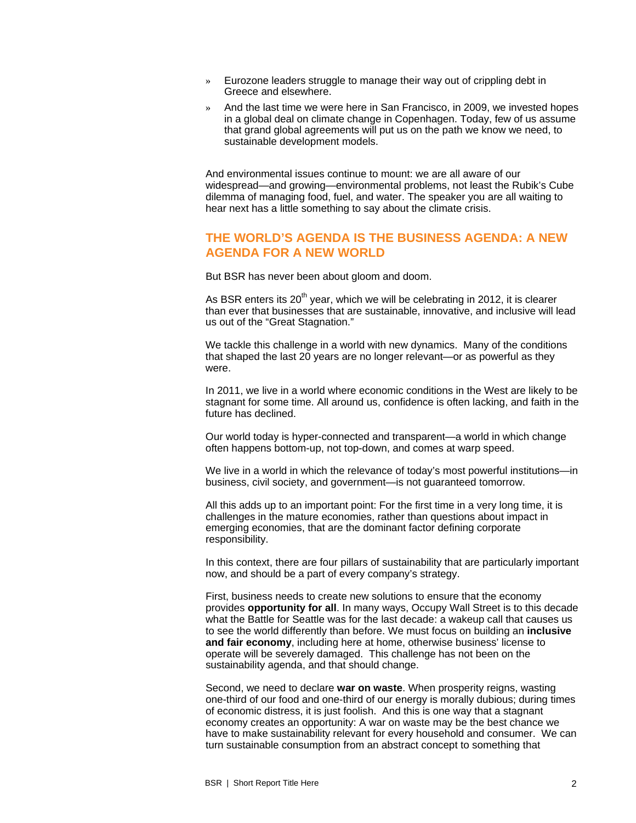- » Eurozone leaders struggle to manage their way out of crippling debt in Greece and elsewhere.
- » And the last time we were here in San Francisco, in 2009, we invested hopes in a global deal on climate change in Copenhagen. Today, few of us assume that grand global agreements will put us on the path we know we need, to sustainable development models.

And environmental issues continue to mount: we are all aware of our widespread—and growing—environmental problems, not least the Rubik's Cube dilemma of managing food, fuel, and water. The speaker you are all waiting to hear next has a little something to say about the climate crisis.

## **THE WORLD'S AGENDA IS THE BUSINESS AGENDA: A NEW AGENDA FOR A NEW WORLD**

But BSR has never been about gloom and doom.

As BSR enters its  $20<sup>th</sup>$  year, which we will be celebrating in 2012, it is clearer than ever that businesses that are sustainable, innovative, and inclusive will lead us out of the "Great Stagnation."

We tackle this challenge in a world with new dynamics. Many of the conditions that shaped the last 20 years are no longer relevant—or as powerful as they were.

In 2011, we live in a world where economic conditions in the West are likely to be stagnant for some time. All around us, confidence is often lacking, and faith in the future has declined.

Our world today is hyper-connected and transparent—a world in which change often happens bottom-up, not top-down, and comes at warp speed.

We live in a world in which the relevance of today's most powerful institutions—in business, civil society, and government—is not guaranteed tomorrow.

All this adds up to an important point: For the first time in a very long time, it is challenges in the mature economies, rather than questions about impact in emerging economies, that are the dominant factor defining corporate responsibility.

In this context, there are four pillars of sustainability that are particularly important now, and should be a part of every company's strategy.

First, business needs to create new solutions to ensure that the economy provides **opportunity for all**. In many ways, Occupy Wall Street is to this decade what the Battle for Seattle was for the last decade: a wakeup call that causes us to see the world differently than before. We must focus on building an **inclusive and fair economy**, including here at home, otherwise business' license to operate will be severely damaged. This challenge has not been on the sustainability agenda, and that should change.

Second, we need to declare **war on waste**. When prosperity reigns, wasting one-third of our food and one-third of our energy is morally dubious; during times of economic distress, it is just foolish. And this is one way that a stagnant economy creates an opportunity: A war on waste may be the best chance we have to make sustainability relevant for every household and consumer. We can turn sustainable consumption from an abstract concept to something that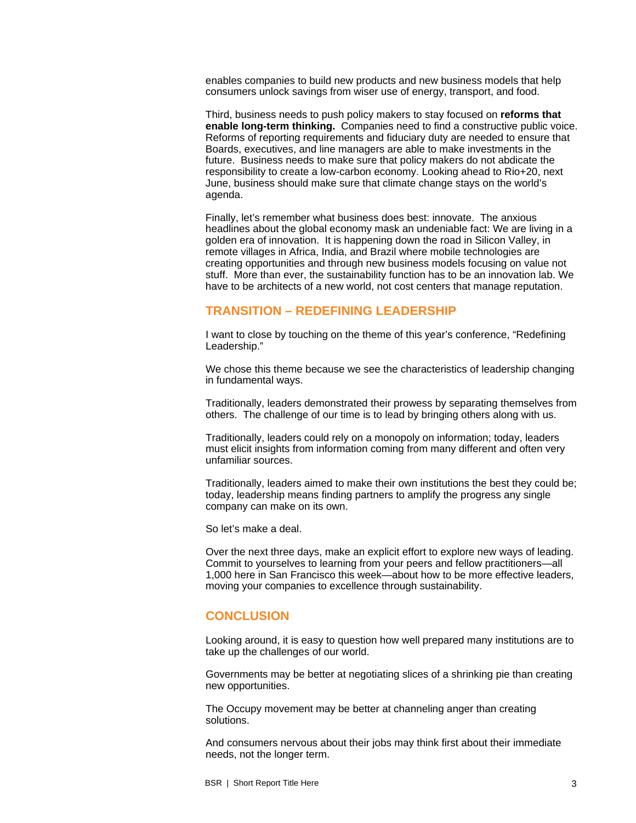enables companies to build new products and new business models that help consumers unlock savings from wiser use of energy, transport, and food.

Third, business needs to push policy makers to stay focused on **reforms that enable long-term thinking.** Companies need to find a constructive public voice. Reforms of reporting requirements and fiduciary duty are needed to ensure that Boards, executives, and line managers are able to make investments in the future. Business needs to make sure that policy makers do not abdicate the responsibility to create a low-carbon economy. Looking ahead to Rio+20, next June, business should make sure that climate change stays on the world's agenda.

Finally, let's remember what business does best: innovate. The anxious headlines about the global economy mask an undeniable fact: We are living in a golden era of innovation. It is happening down the road in Silicon Valley, in remote villages in Africa, India, and Brazil where mobile technologies are creating opportunities and through new business models focusing on value not stuff. More than ever, the sustainability function has to be an innovation lab. We have to be architects of a new world, not cost centers that manage reputation.

#### **TRANSITION – REDEFINING LEADERSHIP**

I want to close by touching on the theme of this year's conference, "Redefining Leadership."

We chose this theme because we see the characteristics of leadership changing in fundamental ways.

Traditionally, leaders demonstrated their prowess by separating themselves from others. The challenge of our time is to lead by bringing others along with us.

Traditionally, leaders could rely on a monopoly on information; today, leaders must elicit insights from information coming from many different and often very unfamiliar sources.

Traditionally, leaders aimed to make their own institutions the best they could be; today, leadership means finding partners to amplify the progress any single company can make on its own.

So let's make a deal.

Over the next three days, make an explicit effort to explore new ways of leading. Commit to yourselves to learning from your peers and fellow practitioners—all 1,000 here in San Francisco this week—about how to be more effective leaders, moving your companies to excellence through sustainability.

## **CONCLUSION**

Looking around, it is easy to question how well prepared many institutions are to take up the challenges of our world.

Governments may be better at negotiating slices of a shrinking pie than creating new opportunities.

The Occupy movement may be better at channeling anger than creating solutions.

And consumers nervous about their jobs may think first about their immediate needs, not the longer term.